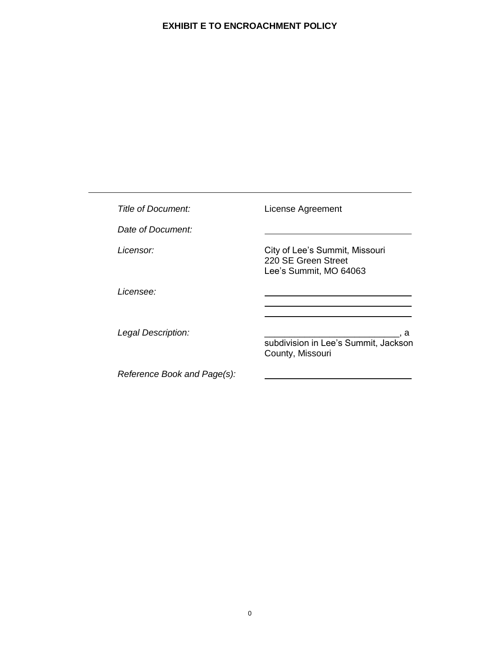| Title of Document:          | License Agreement                                                               |
|-----------------------------|---------------------------------------------------------------------------------|
| Date of Document:           |                                                                                 |
| Licensor:                   | City of Lee's Summit, Missouri<br>220 SE Green Street<br>Lee's Summit, MO 64063 |
| <i>Licensee:</i>            |                                                                                 |
| Legal Description:          | a<br>subdivision in Lee's Summit, Jackson<br>County, Missouri                   |
| Reference Book and Page(s): |                                                                                 |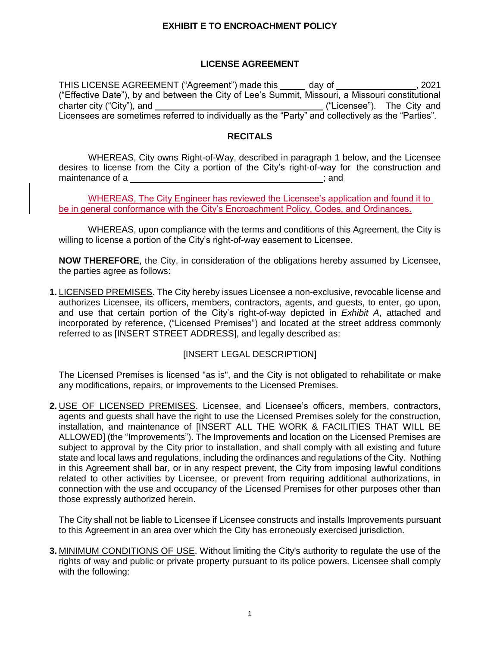## **LICENSE AGREEMENT**

THIS LICENSE AGREEMENT ("Agreement") made this \_\_\_\_\_ day of \_\_\_\_\_\_\_\_\_\_\_\_\_\_\_\_, 2021 ("Effective Date"), by and between the City of Lee's Summit, Missouri, a Missouri constitutional charter city ("City"), and  $($ "Licensee"). The City and  $($ "Licensee"). The City and Licensees are sometimes referred to individually as the "Party" and collectively as the "Parties".

#### **RECITALS**

WHEREAS, City owns Right-of-Way, described in paragraph 1 below, and the Licensee desires to license from the City a portion of the City's right-of-way for the construction and maintenance of a **intervallent and**  $\alpha$  is a set of a set of a set of a set of a set of a set of a set of a set of  $\alpha$  set of a set of a set of a set of a set of a set of a set of a set of a set of a set of a set of a se

WHEREAS, The City Engineer has reviewed the Licensee's application and found it to be in general conformance with the City's Encroachment Policy, Codes, and Ordinances.

WHEREAS, upon compliance with the terms and conditions of this Agreement, the City is willing to license a portion of the City's right-of-way easement to Licensee.

**NOW THEREFORE**, the City, in consideration of the obligations hereby assumed by Licensee, the parties agree as follows:

**1.** LICENSED PREMISES. The City hereby issues Licensee a non-exclusive, revocable license and authorizes Licensee, its officers, members, contractors, agents, and guests, to enter, go upon, and use that certain portion of the City's right-of-way depicted in *Exhibit A*, attached and incorporated by reference, ("Licensed Premises") and located at the street address commonly referred to as [INSERT STREET ADDRESS], and legally described as:

## [INSERT LEGAL DESCRIPTION]

The Licensed Premises is licensed "as is", and the City is not obligated to rehabilitate or make any modifications, repairs, or improvements to the Licensed Premises.

**2.** USE OF LICENSED PREMISES. Licensee, and Licensee's officers, members, contractors, agents and guests shall have the right to use the Licensed Premises solely for the construction, installation, and maintenance of [INSERT ALL THE WORK & FACILITIES THAT WILL BE ALLOWED] (the "Improvements"). The Improvements and location on the Licensed Premises are subject to approval by the City prior to installation, and shall comply with all existing and future state and local laws and regulations, including the ordinances and regulations of the City. Nothing in this Agreement shall bar, or in any respect prevent, the City from imposing lawful conditions related to other activities by Licensee, or prevent from requiring additional authorizations, in connection with the use and occupancy of the Licensed Premises for other purposes other than those expressly authorized herein.

The City shall not be liable to Licensee if Licensee constructs and installs Improvements pursuant to this Agreement in an area over which the City has erroneously exercised jurisdiction.

**3.** MINIMUM CONDITIONS OF USE. Without limiting the City's authority to regulate the use of the rights of way and public or private property pursuant to its police powers. Licensee shall comply with the following: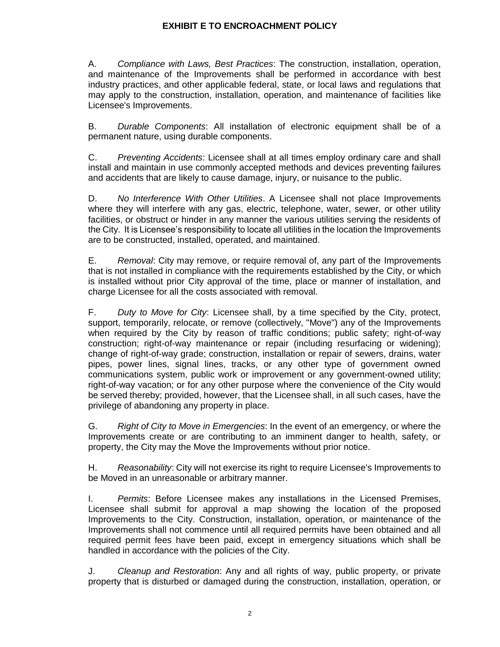A. *Compliance with Laws, Best Practices*: The construction, installation, operation, and maintenance of the Improvements shall be performed in accordance with best industry practices, and other applicable federal, state, or local laws and regulations that may apply to the construction, installation, operation, and maintenance of facilities like Licensee's Improvements.

B. *Durable Components*: All installation of electronic equipment shall be of a permanent nature, using durable components.

C. *Preventing Accidents*: Licensee shall at all times employ ordinary care and shall install and maintain in use commonly accepted methods and devices preventing failures and accidents that are likely to cause damage, injury, or nuisance to the public.

D. *No Interference With Other Utilities*. A Licensee shall not place Improvements where they will interfere with any gas, electric, telephone, water, sewer, or other utility facilities, or obstruct or hinder in any manner the various utilities serving the residents of the City. It is Licensee's responsibility to locate all utilities in the location the Improvements are to be constructed, installed, operated, and maintained.

E. *Removal*: City may remove, or require removal of, any part of the Improvements that is not installed in compliance with the requirements established by the City, or which is installed without prior City approval of the time, place or manner of installation, and charge Licensee for all the costs associated with removal.

F. *Duty to Move for City*: Licensee shall, by a time specified by the City, protect, support, temporarily, relocate, or remove (collectively, "Move") any of the Improvements when required by the City by reason of traffic conditions; public safety; right-of-way construction; right-of-way maintenance or repair (including resurfacing or widening); change of right-of-way grade; construction, installation or repair of sewers, drains, water pipes, power lines, signal lines, tracks, or any other type of government owned communications system, public work or improvement or any government-owned utility; right-of-way vacation; or for any other purpose where the convenience of the City would be served thereby; provided, however, that the Licensee shall, in all such cases, have the privilege of abandoning any property in place.

G. *Right of City to Move in Emergencies*: In the event of an emergency, or where the Improvements create or are contributing to an imminent danger to health, safety, or property, the City may the Move the Improvements without prior notice.

H. *Reasonability*: City will not exercise its right to require Licensee's Improvements to be Moved in an unreasonable or arbitrary manner.

I. *Permits*: Before Licensee makes any installations in the Licensed Premises, Licensee shall submit for approval a map showing the location of the proposed Improvements to the City. Construction, installation, operation, or maintenance of the Improvements shall not commence until all required permits have been obtained and all required permit fees have been paid, except in emergency situations which shall be handled in accordance with the policies of the City.

J. *Cleanup and Restoration*: Any and all rights of way, public property, or private property that is disturbed or damaged during the construction, installation, operation, or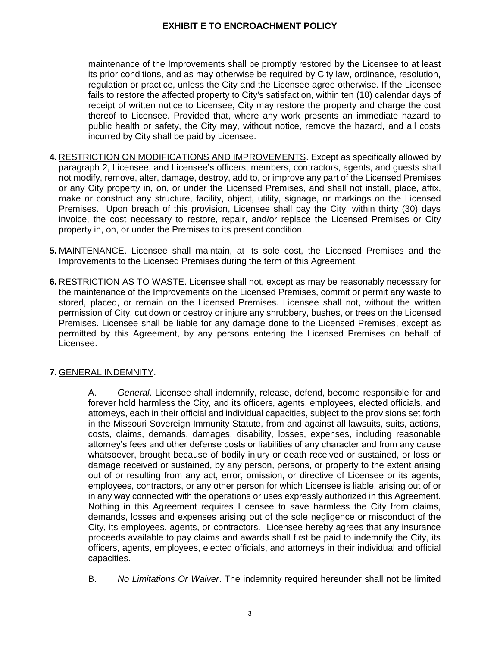maintenance of the Improvements shall be promptly restored by the Licensee to at least its prior conditions, and as may otherwise be required by City law, ordinance, resolution, regulation or practice, unless the City and the Licensee agree otherwise. If the Licensee fails to restore the affected property to City's satisfaction, within ten (10) calendar days of receipt of written notice to Licensee, City may restore the property and charge the cost thereof to Licensee. Provided that, where any work presents an immediate hazard to public health or safety, the City may, without notice, remove the hazard, and all costs incurred by City shall be paid by Licensee.

- **4.** RESTRICTION ON MODIFICATIONS AND IMPROVEMENTS. Except as specifically allowed by paragraph 2, Licensee, and Licensee's officers, members, contractors, agents, and guests shall not modify, remove, alter, damage, destroy, add to, or improve any part of the Licensed Premises or any City property in, on, or under the Licensed Premises, and shall not install, place, affix, make or construct any structure, facility, object, utility, signage, or markings on the Licensed Premises. Upon breach of this provision, Licensee shall pay the City, within thirty (30) days invoice, the cost necessary to restore, repair, and/or replace the Licensed Premises or City property in, on, or under the Premises to its present condition.
- **5.** MAINTENANCE. Licensee shall maintain, at its sole cost, the Licensed Premises and the Improvements to the Licensed Premises during the term of this Agreement.
- **6.** RESTRICTION AS TO WASTE. Licensee shall not, except as may be reasonably necessary for the maintenance of the Improvements on the Licensed Premises, commit or permit any waste to stored, placed, or remain on the Licensed Premises. Licensee shall not, without the written permission of City, cut down or destroy or injure any shrubbery, bushes, or trees on the Licensed Premises. Licensee shall be liable for any damage done to the Licensed Premises, except as permitted by this Agreement, by any persons entering the Licensed Premises on behalf of Licensee.

# **7.** GENERAL INDEMNITY.

A. *General*. Licensee shall indemnify, release, defend, become responsible for and forever hold harmless the City, and its officers, agents, employees, elected officials, and attorneys, each in their official and individual capacities, subject to the provisions set forth in the Missouri Sovereign Immunity Statute, from and against all lawsuits, suits, actions, costs, claims, demands, damages, disability, losses, expenses, including reasonable attorney's fees and other defense costs or liabilities of any character and from any cause whatsoever, brought because of bodily injury or death received or sustained, or loss or damage received or sustained, by any person, persons, or property to the extent arising out of or resulting from any act, error, omission, or directive of Licensee or its agents, employees, contractors, or any other person for which Licensee is liable, arising out of or in any way connected with the operations or uses expressly authorized in this Agreement. Nothing in this Agreement requires Licensee to save harmless the City from claims, demands, losses and expenses arising out of the sole negligence or misconduct of the City, its employees, agents, or contractors. Licensee hereby agrees that any insurance proceeds available to pay claims and awards shall first be paid to indemnify the City, its officers, agents, employees, elected officials, and attorneys in their individual and official capacities.

B. *No Limitations Or Waiver*. The indemnity required hereunder shall not be limited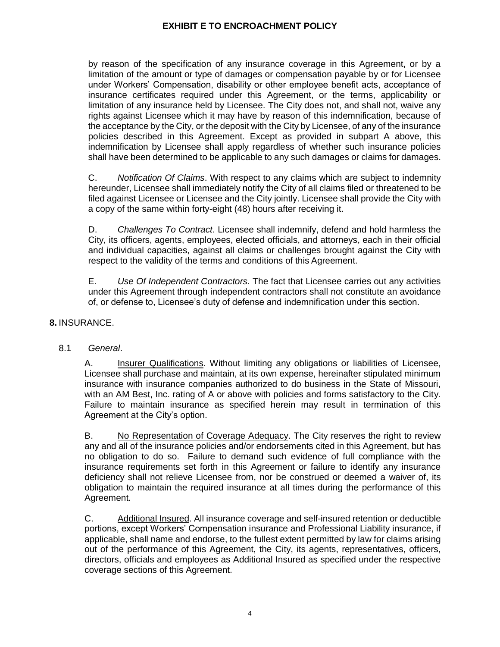by reason of the specification of any insurance coverage in this Agreement, or by a limitation of the amount or type of damages or compensation payable by or for Licensee under Workers' Compensation, disability or other employee benefit acts, acceptance of insurance certificates required under this Agreement, or the terms, applicability or limitation of any insurance held by Licensee. The City does not, and shall not, waive any rights against Licensee which it may have by reason of this indemnification, because of the acceptance by the City, or the deposit with the City by Licensee, of any of the insurance policies described in this Agreement. Except as provided in subpart A above, this indemnification by Licensee shall apply regardless of whether such insurance policies shall have been determined to be applicable to any such damages or claims for damages.

C. *Notification Of Claims*. With respect to any claims which are subject to indemnity hereunder, Licensee shall immediately notify the City of all claims filed or threatened to be filed against Licensee or Licensee and the City jointly. Licensee shall provide the City with a copy of the same within forty-eight (48) hours after receiving it.

D. *Challenges To Contract*. Licensee shall indemnify, defend and hold harmless the City, its officers, agents, employees, elected officials, and attorneys, each in their official and individual capacities, against all claims or challenges brought against the City with respect to the validity of the terms and conditions of this Agreement.

E. *Use Of Independent Contractors*. The fact that Licensee carries out any activities under this Agreement through independent contractors shall not constitute an avoidance of, or defense to, Licensee's duty of defense and indemnification under this section.

## **8.** INSURANCE.

## 8.1 *General*.

A. Insurer Qualifications. Without limiting any obligations or liabilities of Licensee, Licensee shall purchase and maintain, at its own expense, hereinafter stipulated minimum insurance with insurance companies authorized to do business in the State of Missouri, with an AM Best, Inc. rating of A or above with policies and forms satisfactory to the City. Failure to maintain insurance as specified herein may result in termination of this Agreement at the City's option.

B. No Representation of Coverage Adequacy. The City reserves the right to review any and all of the insurance policies and/or endorsements cited in this Agreement, but has no obligation to do so. Failure to demand such evidence of full compliance with the insurance requirements set forth in this Agreement or failure to identify any insurance deficiency shall not relieve Licensee from, nor be construed or deemed a waiver of, its obligation to maintain the required insurance at all times during the performance of this Agreement.

C. Additional Insured. All insurance coverage and self-insured retention or deductible portions, except Workers' Compensation insurance and Professional Liability insurance, if applicable, shall name and endorse, to the fullest extent permitted by law for claims arising out of the performance of this Agreement, the City, its agents, representatives, officers, directors, officials and employees as Additional Insured as specified under the respective coverage sections of this Agreement.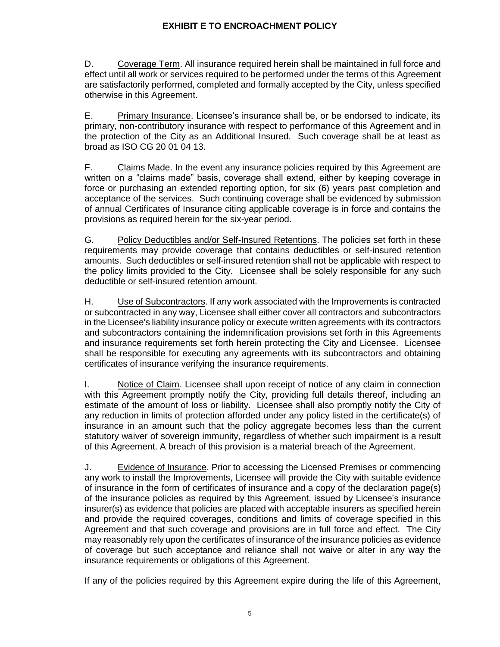D. Coverage Term. All insurance required herein shall be maintained in full force and effect until all work or services required to be performed under the terms of this Agreement are satisfactorily performed, completed and formally accepted by the City, unless specified otherwise in this Agreement.

E. Primary Insurance. Licensee's insurance shall be, or be endorsed to indicate, its primary, non-contributory insurance with respect to performance of this Agreement and in the protection of the City as an Additional Insured. Such coverage shall be at least as broad as ISO CG 20 01 04 13.

F. Claims Made. In the event any insurance policies required by this Agreement are written on a "claims made" basis, coverage shall extend, either by keeping coverage in force or purchasing an extended reporting option, for six (6) years past completion and acceptance of the services. Such continuing coverage shall be evidenced by submission of annual Certificates of Insurance citing applicable coverage is in force and contains the provisions as required herein for the six-year period.

G. Policy Deductibles and/or Self-Insured Retentions. The policies set forth in these requirements may provide coverage that contains deductibles or self-insured retention amounts. Such deductibles or self-insured retention shall not be applicable with respect to the policy limits provided to the City. Licensee shall be solely responsible for any such deductible or self-insured retention amount.

H. Use of Subcontractors. If any work associated with the Improvements is contracted or subcontracted in any way, Licensee shall either cover all contractors and subcontractors in the Licensee's liability insurance policy or execute written agreements with its contractors and subcontractors containing the indemnification provisions set forth in this Agreements and insurance requirements set forth herein protecting the City and Licensee. Licensee shall be responsible for executing any agreements with its subcontractors and obtaining certificates of insurance verifying the insurance requirements.

I. Notice of Claim. Licensee shall upon receipt of notice of any claim in connection with this Agreement promptly notify the City, providing full details thereof, including an estimate of the amount of loss or liability. Licensee shall also promptly notify the City of any reduction in limits of protection afforded under any policy listed in the certificate(s) of insurance in an amount such that the policy aggregate becomes less than the current statutory waiver of sovereign immunity, regardless of whether such impairment is a result of this Agreement. A breach of this provision is a material breach of the Agreement.

J. Evidence of Insurance. Prior to accessing the Licensed Premises or commencing any work to install the Improvements, Licensee will provide the City with suitable evidence of insurance in the form of certificates of insurance and a copy of the declaration page(s) of the insurance policies as required by this Agreement, issued by Licensee's insurance insurer(s) as evidence that policies are placed with acceptable insurers as specified herein and provide the required coverages, conditions and limits of coverage specified in this Agreement and that such coverage and provisions are in full force and effect. The City may reasonably rely upon the certificates of insurance of the insurance policies as evidence of coverage but such acceptance and reliance shall not waive or alter in any way the insurance requirements or obligations of this Agreement.

If any of the policies required by this Agreement expire during the life of this Agreement,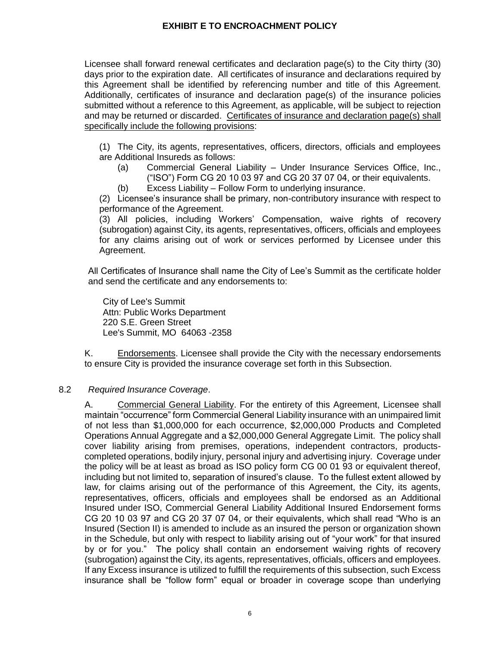Licensee shall forward renewal certificates and declaration page(s) to the City thirty (30) days prior to the expiration date. All certificates of insurance and declarations required by this Agreement shall be identified by referencing number and title of this Agreement. Additionally, certificates of insurance and declaration page(s) of the insurance policies submitted without a reference to this Agreement, as applicable, will be subject to rejection and may be returned or discarded. Certificates of insurance and declaration page(s) shall specifically include the following provisions:

(1) The City, its agents, representatives, officers, directors, officials and employees are Additional Insureds as follows:

- (a) Commercial General Liability Under Insurance Services Office, Inc., ("ISO") Form CG 20 10 03 97 and CG 20 37 07 04, or their equivalents.
- (b) Excess Liability Follow Form to underlying insurance.

(2) Licensee's insurance shall be primary, non-contributory insurance with respect to performance of the Agreement.

(3) All policies, including Workers' Compensation, waive rights of recovery (subrogation) against City, its agents, representatives, officers, officials and employees for any claims arising out of work or services performed by Licensee under this Agreement.

All Certificates of Insurance shall name the City of Lee's Summit as the certificate holder and send the certificate and any endorsements to:

City of Lee's Summit Attn: Public Works Department 220 S.E. Green Street Lee's Summit, MO 64063 -2358

K. Endorsements. Licensee shall provide the City with the necessary endorsements to ensure City is provided the insurance coverage set forth in this Subsection.

#### 8.2 *Required Insurance Coverage*.

A. Commercial General Liability. For the entirety of this Agreement, Licensee shall maintain "occurrence" form Commercial General Liability insurance with an unimpaired limit of not less than \$1,000,000 for each occurrence, \$2,000,000 Products and Completed Operations Annual Aggregate and a \$2,000,000 General Aggregate Limit. The policy shall cover liability arising from premises, operations, independent contractors, productscompleted operations, bodily injury, personal injury and advertising injury. Coverage under the policy will be at least as broad as ISO policy form CG 00 01 93 or equivalent thereof, including but not limited to, separation of insured's clause. To the fullest extent allowed by law, for claims arising out of the performance of this Agreement, the City, its agents, representatives, officers, officials and employees shall be endorsed as an Additional Insured under ISO, Commercial General Liability Additional Insured Endorsement forms CG 20 10 03 97 and CG 20 37 07 04, or their equivalents, which shall read "Who is an Insured (Section II) is amended to include as an insured the person or organization shown in the Schedule, but only with respect to liability arising out of "your work" for that insured by or for you." The policy shall contain an endorsement waiving rights of recovery (subrogation) against the City, its agents, representatives, officials, officers and employees. If any Excess insurance is utilized to fulfill the requirements of this subsection, such Excess insurance shall be "follow form" equal or broader in coverage scope than underlying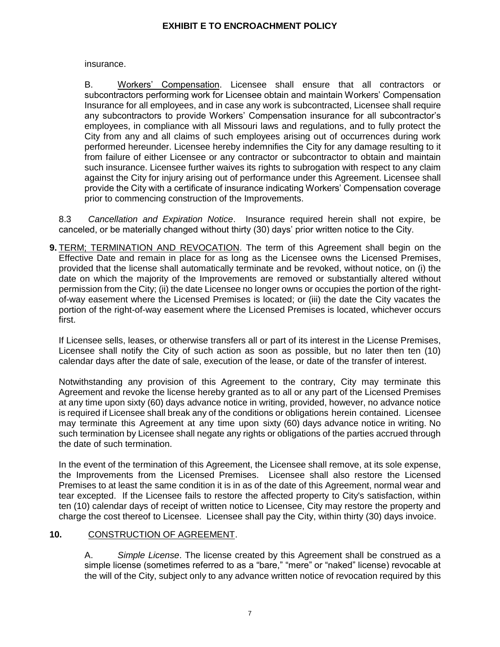insurance.

B. Workers' Compensation. Licensee shall ensure that all contractors or subcontractors performing work for Licensee obtain and maintain Workers' Compensation Insurance for all employees, and in case any work is subcontracted, Licensee shall require any subcontractors to provide Workers' Compensation insurance for all subcontractor's employees, in compliance with all Missouri laws and regulations, and to fully protect the City from any and all claims of such employees arising out of occurrences during work performed hereunder. Licensee hereby indemnifies the City for any damage resulting to it from failure of either Licensee or any contractor or subcontractor to obtain and maintain such insurance. Licensee further waives its rights to subrogation with respect to any claim against the City for injury arising out of performance under this Agreement. Licensee shall provide the City with a certificate of insurance indicating Workers' Compensation coverage prior to commencing construction of the Improvements.

8.3 *Cancellation and Expiration Notice*. Insurance required herein shall not expire, be canceled, or be materially changed without thirty (30) days' prior written notice to the City.

**9.** TERM; TERMINATION AND REVOCATION. The term of this Agreement shall begin on the Effective Date and remain in place for as long as the Licensee owns the Licensed Premises, provided that the license shall automatically terminate and be revoked, without notice, on (i) the date on which the majority of the Improvements are removed or substantially altered without permission from the City; (ii) the date Licensee no longer owns or occupies the portion of the rightof-way easement where the Licensed Premises is located; or (iii) the date the City vacates the portion of the right-of-way easement where the Licensed Premises is located, whichever occurs first.

If Licensee sells, leases, or otherwise transfers all or part of its interest in the License Premises, Licensee shall notify the City of such action as soon as possible, but no later then ten (10) calendar days after the date of sale, execution of the lease, or date of the transfer of interest.

Notwithstanding any provision of this Agreement to the contrary, City may terminate this Agreement and revoke the license hereby granted as to all or any part of the Licensed Premises at any time upon sixty (60) days advance notice in writing, provided, however, no advance notice is required if Licensee shall break any of the conditions or obligations herein contained. Licensee may terminate this Agreement at any time upon sixty (60) days advance notice in writing. No such termination by Licensee shall negate any rights or obligations of the parties accrued through the date of such termination.

In the event of the termination of this Agreement, the Licensee shall remove, at its sole expense, the Improvements from the Licensed Premises. Licensee shall also restore the Licensed Premises to at least the same condition it is in as of the date of this Agreement, normal wear and tear excepted. If the Licensee fails to restore the affected property to City's satisfaction, within ten (10) calendar days of receipt of written notice to Licensee, City may restore the property and charge the cost thereof to Licensee. Licensee shall pay the City, within thirty (30) days invoice.

# **10.** CONSTRUCTION OF AGREEMENT.

A. *Simple License*. The license created by this Agreement shall be construed as a simple license (sometimes referred to as a "bare," "mere" or "naked" license) revocable at the will of the City, subject only to any advance written notice of revocation required by this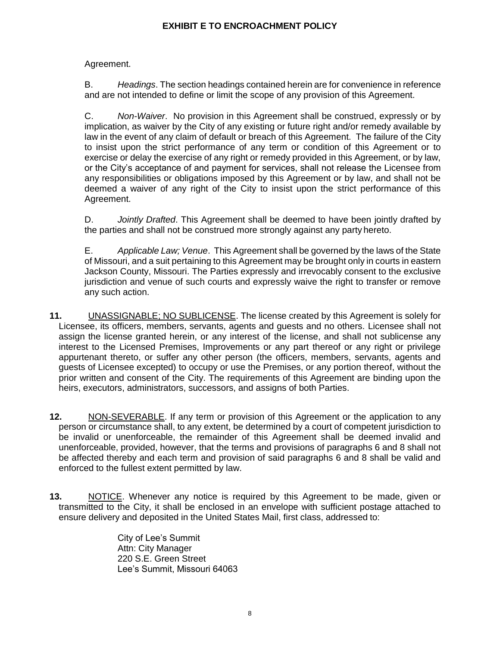Agreement.

B. *Headings*. The section headings contained herein are for convenience in reference and are not intended to define or limit the scope of any provision of this Agreement.

C. *Non-Waiver*. No provision in this Agreement shall be construed, expressly or by implication, as waiver by the City of any existing or future right and/or remedy available by law in the event of any claim of default or breach of this Agreement. The failure of the City to insist upon the strict performance of any term or condition of this Agreement or to exercise or delay the exercise of any right or remedy provided in this Agreement, or by law, or the City's acceptance of and payment for services, shall not release the Licensee from any responsibilities or obligations imposed by this Agreement or by law, and shall not be deemed a waiver of any right of the City to insist upon the strict performance of this Agreement.

D. *Jointly Drafted*. This Agreement shall be deemed to have been jointly drafted by the parties and shall not be construed more strongly against any party hereto.

E. *Applicable Law; Venue*. This Agreement shall be governed by the laws of the State of Missouri, and a suit pertaining to this Agreement may be brought only in courts in eastern Jackson County, Missouri. The Parties expressly and irrevocably consent to the exclusive jurisdiction and venue of such courts and expressly waive the right to transfer or remove any such action.

- **11.** UNASSIGNABLE; NO SUBLICENSE. The license created by this Agreement is solely for Licensee, its officers, members, servants, agents and guests and no others. Licensee shall not assign the license granted herein, or any interest of the license, and shall not sublicense any interest to the Licensed Premises, Improvements or any part thereof or any right or privilege appurtenant thereto, or suffer any other person (the officers, members, servants, agents and guests of Licensee excepted) to occupy or use the Premises, or any portion thereof, without the prior written and consent of the City. The requirements of this Agreement are binding upon the heirs, executors, administrators, successors, and assigns of both Parties.
- **12.** NON-SEVERABLE. If any term or provision of this Agreement or the application to any person or circumstance shall, to any extent, be determined by a court of competent jurisdiction to be invalid or unenforceable, the remainder of this Agreement shall be deemed invalid and unenforceable, provided, however, that the terms and provisions of paragraphs 6 and 8 shall not be affected thereby and each term and provision of said paragraphs 6 and 8 shall be valid and enforced to the fullest extent permitted by law.
- **13.** NOTICE. Whenever any notice is required by this Agreement to be made, given or transmitted to the City, it shall be enclosed in an envelope with sufficient postage attached to ensure delivery and deposited in the United States Mail, first class, addressed to:

City of Lee's Summit Attn: City Manager 220 S.E. Green Street Lee's Summit, Missouri 64063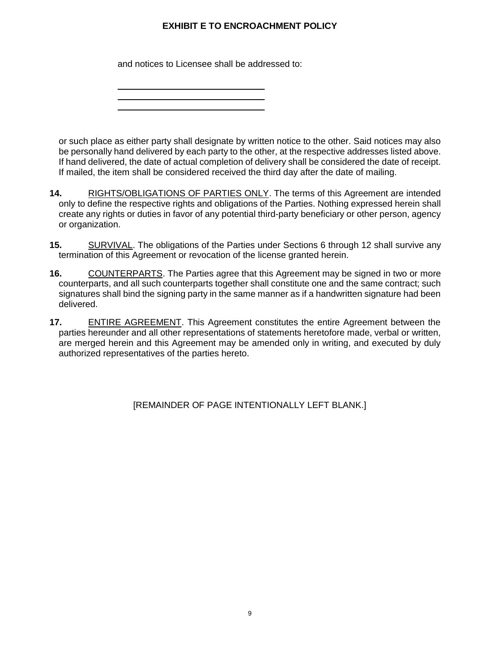and notices to Licensee shall be addressed to:

or such place as either party shall designate by written notice to the other. Said notices may also be personally hand delivered by each party to the other, at the respective addresses listed above. If hand delivered, the date of actual completion of delivery shall be considered the date of receipt. If mailed, the item shall be considered received the third day after the date of mailing.

- **14.** RIGHTS/OBLIGATIONS OF PARTIES ONLY. The terms of this Agreement are intended only to define the respective rights and obligations of the Parties. Nothing expressed herein shall create any rights or duties in favor of any potential third-party beneficiary or other person, agency or organization.
- **15.** SURVIVAL. The obligations of the Parties under Sections 6 through 12 shall survive any termination of this Agreement or revocation of the license granted herein.
- **16.** COUNTERPARTS. The Parties agree that this Agreement may be signed in two or more counterparts, and all such counterparts together shall constitute one and the same contract; such signatures shall bind the signing party in the same manner as if a handwritten signature had been delivered.
- **17.** ENTIRE AGREEMENT. This Agreement constitutes the entire Agreement between the parties hereunder and all other representations of statements heretofore made, verbal or written, are merged herein and this Agreement may be amended only in writing, and executed by duly authorized representatives of the parties hereto.

[REMAINDER OF PAGE INTENTIONALLY LEFT BLANK.]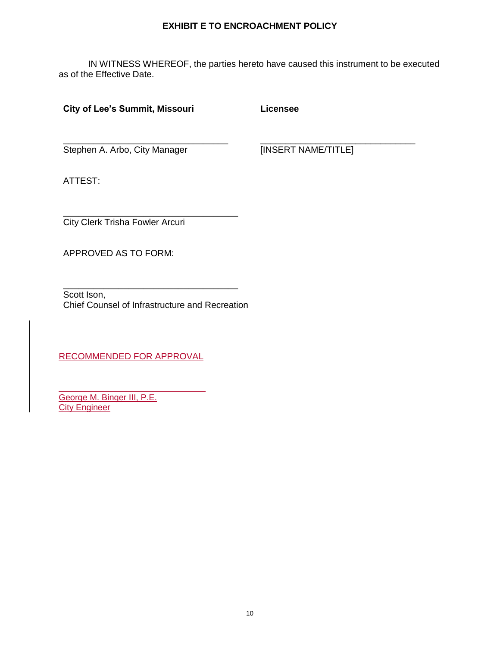IN WITNESS WHEREOF, the parties hereto have caused this instrument to be executed as of the Effective Date.

## **City of Lee's Summit, Missouri**

**Licensee**

Stephen A. Arbo, City Manager

\_\_\_\_\_\_\_\_\_\_\_\_\_\_\_\_\_\_\_\_\_\_\_\_\_\_\_\_\_\_\_\_\_

[INSERT NAME/TITLE]

\_\_\_\_\_\_\_\_\_\_\_\_\_\_\_\_\_\_\_\_\_\_\_\_\_\_\_\_\_\_\_

ATTEST:

\_\_\_\_\_\_\_\_\_\_\_\_\_\_\_\_\_\_\_\_\_\_\_\_\_\_\_\_\_\_\_\_\_\_\_ City Clerk Trisha Fowler Arcuri

APPROVED AS TO FORM:

\_\_\_\_\_\_\_\_\_\_\_\_\_\_\_\_\_\_\_\_\_\_\_\_\_\_\_\_\_\_\_\_\_\_\_ Scott Ison, Chief Counsel of Infrastructure and Recreation

RECOMMENDED FOR APPROVAL

George M. Binger III, P.E. **City Engineer**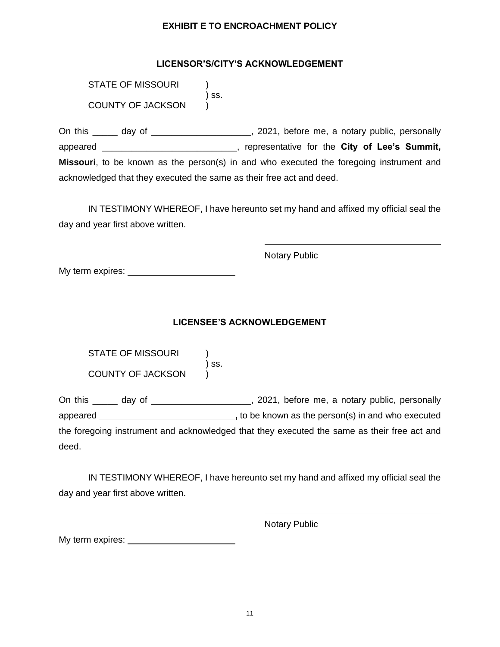## **LICENSOR'S/CITY'S ACKNOWLEDGEMENT**

STATE OF MISSOURI ) ss. COUNTY OF JACKSON )

On this \_\_\_\_\_ day of \_\_\_\_\_\_\_\_\_\_\_\_\_\_\_\_\_\_\_, 2021, before me, a notary public, personally appeared \_\_\_\_\_\_\_\_\_\_\_\_\_\_\_\_\_\_\_\_\_\_\_\_\_\_\_, representative for the **City of Lee's Summit, Missouri**, to be known as the person(s) in and who executed the foregoing instrument and acknowledged that they executed the same as their free act and deed.

IN TESTIMONY WHEREOF, I have hereunto set my hand and affixed my official seal the day and year first above written.

Notary Public

My term expires:

## **LICENSEE'S ACKNOWLEDGEMENT**

| STATE OF MISSOURI |       |
|-------------------|-------|
|                   | ) SS. |
| COUNTY OF JACKSON |       |

On this \_\_\_\_\_ day of \_\_\_\_\_\_\_\_\_\_\_\_\_\_\_\_\_\_\_, 2021, before me, a notary public, personally appeared **,** to be known as the person(s) in and who executed the foregoing instrument and acknowledged that they executed the same as their free act and deed.

IN TESTIMONY WHEREOF, I have hereunto set my hand and affixed my official seal the day and year first above written.

Notary Public

My term expires: